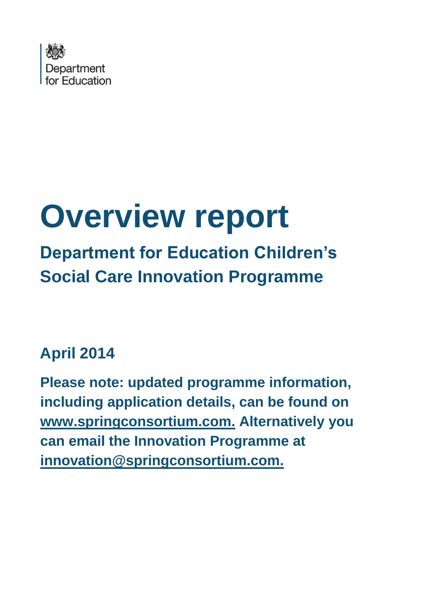

# **Overview report**

## **Department for Education Children's Social Care Innovation Programme**

## **April 2014**

**Please note: updated programme information, including application details, can be found on [www.springconsortium.com.](http://www.springconsortium.com/) Alternatively you can email the Innovation Programme at [innovation@springconsortium.com.](mailto:innovation@springconsortium.com)**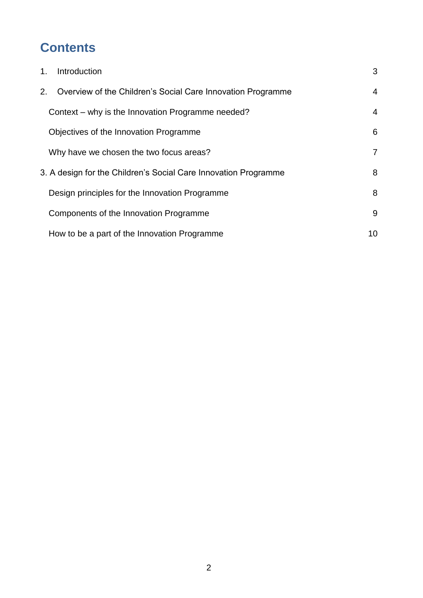## **Contents**

| $1_{\cdot}$                                                     | Introduction                                                | 3  |  |  |
|-----------------------------------------------------------------|-------------------------------------------------------------|----|--|--|
| 2.                                                              | Overview of the Children's Social Care Innovation Programme | 4  |  |  |
|                                                                 | Context – why is the Innovation Programme needed?           | 4  |  |  |
|                                                                 | Objectives of the Innovation Programme                      | 6  |  |  |
|                                                                 | Why have we chosen the two focus areas?                     | 7  |  |  |
| 3. A design for the Children's Social Care Innovation Programme |                                                             |    |  |  |
|                                                                 | Design principles for the Innovation Programme              | 8  |  |  |
|                                                                 | Components of the Innovation Programme                      | 9  |  |  |
|                                                                 | How to be a part of the Innovation Programme                | 10 |  |  |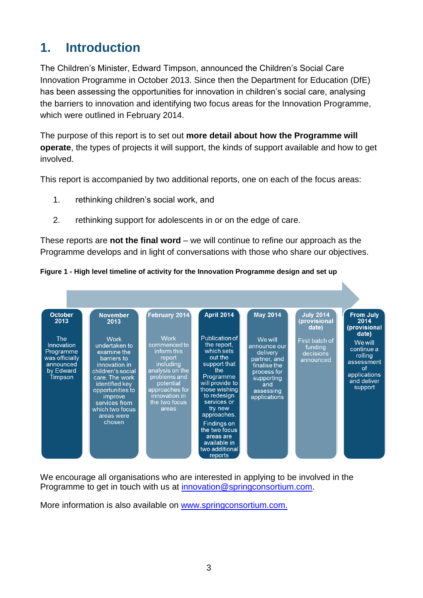## <span id="page-2-0"></span>**1. Introduction**

The Children's Minister, Edward Timpson, announced the Children's Social Care Innovation Programme in October 2013. Since then the Department for Education (DfE) has been assessing the opportunities for innovation in children's social care, analysing the barriers to innovation and identifying two focus areas for the Innovation Programme, which were outlined in February 2014.

The purpose of this report is to set out **more detail about how the Programme will operate**, the types of projects it will support, the kinds of support available and how to get involved.

This report is accompanied by two additional reports, one on each of the focus areas:

- 1. rethinking children's social work, and
- 2. rethinking support for adolescents in or on the edge of care.

These reports are **not the final word** – we will continue to refine our approach as the Programme develops and in light of conversations with those who share our objectives.

#### **Figure 1 - High level timeline of activity for the Innovation Programme design and set up**



We encourage all organisations who are interested in applying to be involved in the Programme to get in touch with us at [innovation@springconsortium.com.](mailto:innovation@springconsortium.com)

More information is also available on www.springconsortium.com.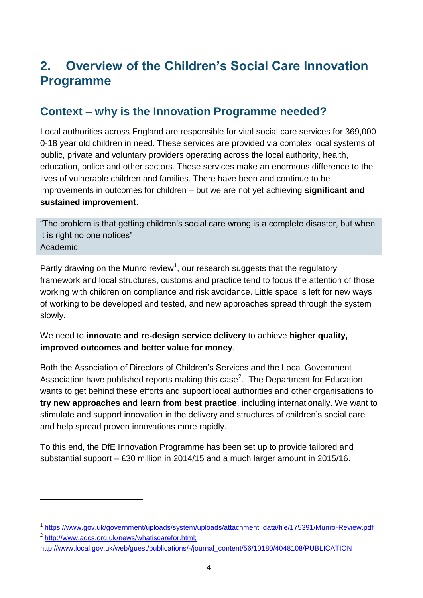## <span id="page-3-0"></span>**2. Overview of the Children's Social Care Innovation Programme**

#### <span id="page-3-1"></span>**Context – why is the Innovation Programme needed?**

Local authorities across England are responsible for vital social care services for 369,000 0-18 year old children in need. These services are provided via complex local systems of public, private and voluntary providers operating across the local authority, health, education, police and other sectors. These services make an enormous difference to the lives of vulnerable children and families. There have been and continue to be improvements in outcomes for children – but we are not yet achieving **significant and sustained improvement**.

"The problem is that getting children's social care wrong is a complete disaster, but when it is right no one notices" Academic

Partly drawing on the Munro review<sup>1</sup>, our research suggests that the regulatory framework and local structures, customs and practice tend to focus the attention of those working with children on compliance and risk avoidance. Little space is left for new ways of working to be developed and tested, and new approaches spread through the system slowly.

#### We need to **innovate and re-design service delivery** to achieve **higher quality, improved outcomes and better value for money**.

Both the Association of Directors of Children's Services and the Local Government Association have published reports making this case<sup>2</sup>. The Department for Education wants to get behind these efforts and support local authorities and other organisations to **try new approaches and learn from best practice**, including internationally. We want to stimulate and support innovation in the delivery and structures of children's social care and help spread proven innovations more rapidly.

To this end, the DfE Innovation Programme has been set up to provide tailored and substantial support – £30 million in 2014/15 and a much larger amount in 2015/16.

1

<sup>&</sup>lt;sup>1</sup> [https://www.gov.uk/government/uploads/system/uploads/attachment\\_data/file/175391/Munro-Review.pdf](https://www.gov.uk/government/uploads/system/uploads/attachment_data/file/175391/Munro-Review.pdf)

<sup>&</sup>lt;sup>2</sup> http://www.adcs.org.uk/news/whatiscarefor.html; [http://www.local.gov.uk/web/guest/publications/-/journal\\_content/56/10180/4048108/PUBLICATION](http://www.adcs.org.uk/news/whatiscarefor.html)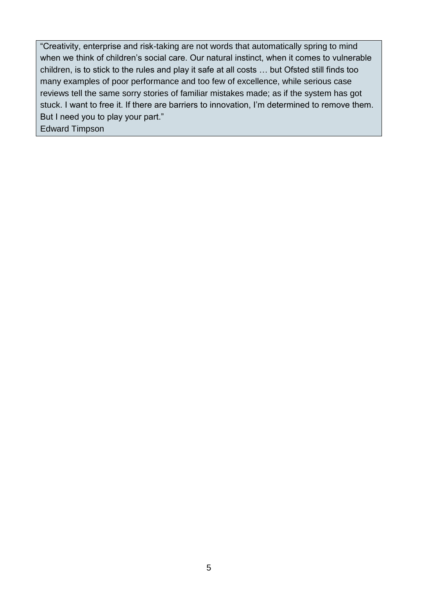"Creativity, enterprise and risk-taking are not words that automatically spring to mind when we think of children's social care. Our natural instinct, when it comes to vulnerable children, is to stick to the rules and play it safe at all costs … but Ofsted still finds too many examples of poor performance and too few of excellence, while serious case reviews tell the same sorry stories of familiar mistakes made; as if the system has got stuck. I want to free it. If there are barriers to innovation, I'm determined to remove them. But I need you to play your part."

Edward Timpson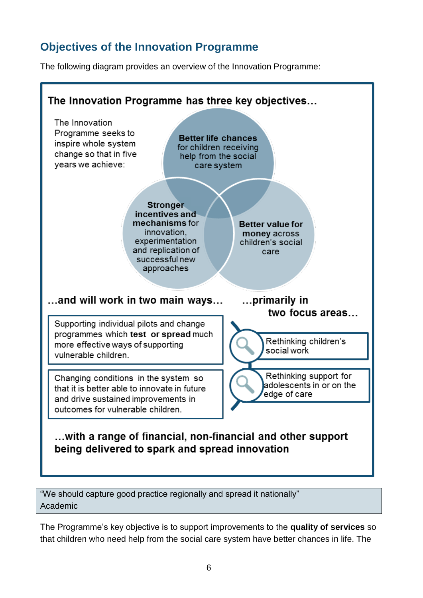#### <span id="page-5-0"></span>**Objectives of the Innovation Programme**

The following diagram provides an overview of the Innovation Programme:



"We should capture good practice regionally and spread it nationally" Academic

The Programme's key objective is to support improvements to the **quality of services** so that children who need help from the social care system have better chances in life. The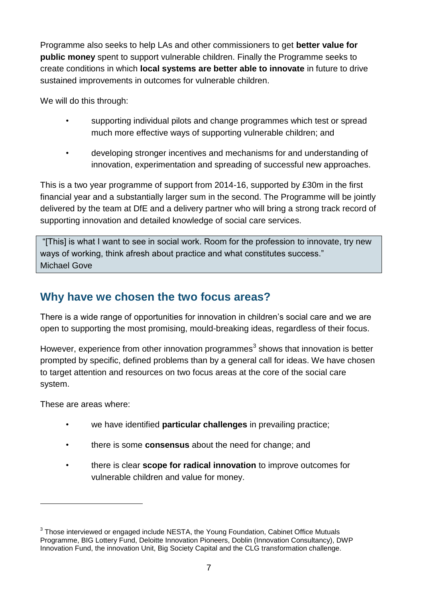Programme also seeks to help LAs and other commissioners to get **better value for public money** spent to support vulnerable children. Finally the Programme seeks to create conditions in which **local systems are better able to innovate** in future to drive sustained improvements in outcomes for vulnerable children.

We will do this through:

- supporting individual pilots and change programmes which test or spread much more effective ways of supporting vulnerable children; and
- developing stronger incentives and mechanisms for and understanding of innovation, experimentation and spreading of successful new approaches.

This is a two year programme of support from 2014-16, supported by £30m in the first financial year and a substantially larger sum in the second. The Programme will be jointly delivered by the team at DfE and a delivery partner who will bring a strong track record of supporting innovation and detailed knowledge of social care services.

"[This] is what I want to see in social work. Room for the profession to innovate, try new ways of working, think afresh about practice and what constitutes success." Michael Gove

#### <span id="page-6-0"></span>**Why have we chosen the two focus areas?**

There is a wide range of opportunities for innovation in children's social care and we are open to supporting the most promising, mould-breaking ideas, regardless of their focus.

However, experience from other innovation programmes $3$  shows that innovation is better prompted by specific, defined problems than by a general call for ideas. We have chosen to target attention and resources on two focus areas at the core of the social care system.

These are areas where:

1

- we have identified **particular challenges** in prevailing practice;
- there is some **consensus** about the need for change; and
- there is clear **scope for radical innovation** to improve outcomes for vulnerable children and value for money.

<sup>&</sup>lt;sup>3</sup> Those interviewed or engaged include NESTA, the Young Foundation, Cabinet Office Mutuals Programme, BIG Lottery Fund, Deloitte Innovation Pioneers, Doblin (Innovation Consultancy), DWP Innovation Fund, the innovation Unit, Big Society Capital and the CLG transformation challenge.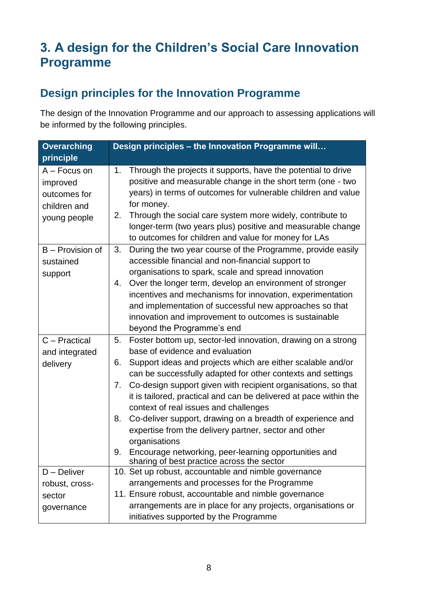## <span id="page-7-0"></span>**3. A design for the Children's Social Care Innovation Programme**

#### <span id="page-7-1"></span>**Design principles for the Innovation Programme**

The design of the Innovation Programme and our approach to assessing applications will be informed by the following principles.

| <b>Overarching</b>                                                         | Design principles - the Innovation Programme will                                                                                                                                                                                                                                                                                                                                                                    |  |  |  |
|----------------------------------------------------------------------------|----------------------------------------------------------------------------------------------------------------------------------------------------------------------------------------------------------------------------------------------------------------------------------------------------------------------------------------------------------------------------------------------------------------------|--|--|--|
| principle                                                                  |                                                                                                                                                                                                                                                                                                                                                                                                                      |  |  |  |
| $A -$ Focus on<br>improved<br>outcomes for<br>children and<br>young people | Through the projects it supports, have the potential to drive<br>$1_{\cdot}$<br>positive and measurable change in the short term (one - two<br>years) in terms of outcomes for vulnerable children and value<br>for money.<br>Through the social care system more widely, contribute to<br>2.<br>longer-term (two years plus) positive and measurable change<br>to outcomes for children and value for money for LAs |  |  |  |
| B - Provision of<br>sustained                                              | During the two year course of the Programme, provide easily<br>3.<br>accessible financial and non-financial support to                                                                                                                                                                                                                                                                                               |  |  |  |
| support                                                                    | organisations to spark, scale and spread innovation                                                                                                                                                                                                                                                                                                                                                                  |  |  |  |
|                                                                            | 4. Over the longer term, develop an environment of stronger<br>incentives and mechanisms for innovation, experimentation<br>and implementation of successful new approaches so that<br>innovation and improvement to outcomes is sustainable<br>beyond the Programme's end                                                                                                                                           |  |  |  |
| C - Practical                                                              | Foster bottom up, sector-led innovation, drawing on a strong<br>5.                                                                                                                                                                                                                                                                                                                                                   |  |  |  |
| and integrated<br>delivery                                                 | base of evidence and evaluation<br>Support ideas and projects which are either scalable and/or<br>6.<br>can be successfully adapted for other contexts and settings                                                                                                                                                                                                                                                  |  |  |  |
|                                                                            | Co-design support given with recipient organisations, so that<br>7.<br>it is tailored, practical and can be delivered at pace within the<br>context of real issues and challenges                                                                                                                                                                                                                                    |  |  |  |
|                                                                            | Co-deliver support, drawing on a breadth of experience and<br>8.<br>expertise from the delivery partner, sector and other<br>organisations                                                                                                                                                                                                                                                                           |  |  |  |
|                                                                            | Encourage networking, peer-learning opportunities and<br>9.<br>sharing of best practice across the sector                                                                                                                                                                                                                                                                                                            |  |  |  |
| $D -$ Deliver                                                              | 10. Set up robust, accountable and nimble governance                                                                                                                                                                                                                                                                                                                                                                 |  |  |  |
| robust, cross-                                                             | arrangements and processes for the Programme                                                                                                                                                                                                                                                                                                                                                                         |  |  |  |
| sector                                                                     | 11. Ensure robust, accountable and nimble governance                                                                                                                                                                                                                                                                                                                                                                 |  |  |  |
| governance                                                                 | arrangements are in place for any projects, organisations or<br>initiatives supported by the Programme                                                                                                                                                                                                                                                                                                               |  |  |  |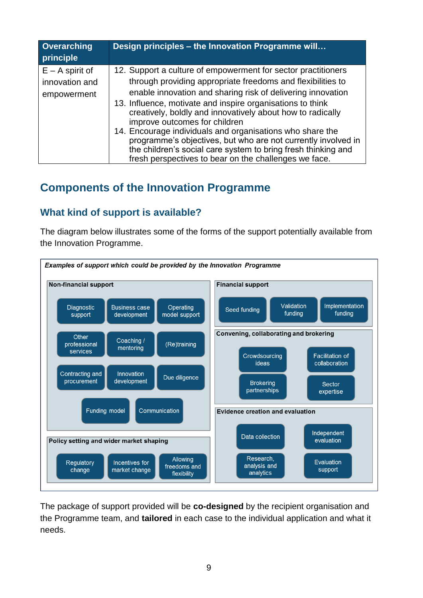| <b>Overarching</b><br>principle                    | Design principles - the Innovation Programme will                                                                                                                                                                                                                                                                                                                                                                                                                                                                                                                                                                |
|----------------------------------------------------|------------------------------------------------------------------------------------------------------------------------------------------------------------------------------------------------------------------------------------------------------------------------------------------------------------------------------------------------------------------------------------------------------------------------------------------------------------------------------------------------------------------------------------------------------------------------------------------------------------------|
| $E - A$ spirit of<br>innovation and<br>empowerment | 12. Support a culture of empowerment for sector practitioners<br>through providing appropriate freedoms and flexibilities to<br>enable innovation and sharing risk of delivering innovation<br>13. Influence, motivate and inspire organisations to think<br>creatively, boldly and innovatively about how to radically<br>improve outcomes for children<br>14. Encourage individuals and organisations who share the<br>programme's objectives, but who are not currently involved in<br>the children's social care system to bring fresh thinking and<br>fresh perspectives to bear on the challenges we face. |

#### <span id="page-8-0"></span>**Components of the Innovation Programme**

#### **What kind of support is available?**

The diagram below illustrates some of the forms of the support potentially available from the Innovation Programme.



The package of support provided will be **co-designed** by the recipient organisation and the Programme team, and **tailored** in each case to the individual application and what it needs.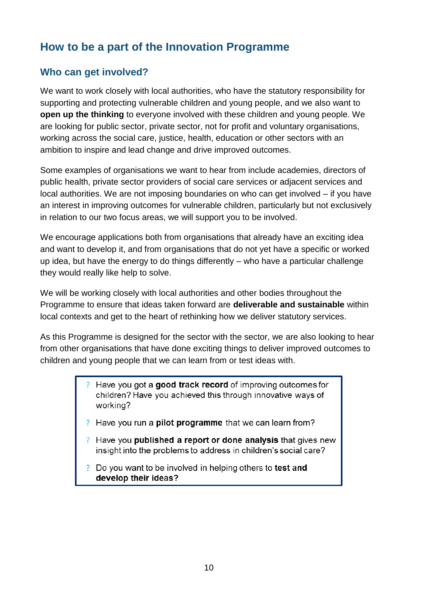#### <span id="page-9-0"></span>**How to be a part of the Innovation Programme**

#### **Who can get involved?**

We want to work closely with local authorities, who have the statutory responsibility for supporting and protecting vulnerable children and young people, and we also want to **open up the thinking** to everyone involved with these children and young people. We are looking for public sector, private sector, not for profit and voluntary organisations, working across the social care, justice, health, education or other sectors with an ambition to inspire and lead change and drive improved outcomes.

Some examples of organisations we want to hear from include academies, directors of public health, private sector providers of social care services or adjacent services and local authorities. We are not imposing boundaries on who can get involved – if you have an interest in improving outcomes for vulnerable children, particularly but not exclusively in relation to our two focus areas, we will support you to be involved.

We encourage applications both from organisations that already have an exciting idea and want to develop it, and from organisations that do not yet have a specific or worked up idea, but have the energy to do things differently – who have a particular challenge they would really like help to solve.

We will be working closely with local authorities and other bodies throughout the Programme to ensure that ideas taken forward are **deliverable and sustainable** within local contexts and get to the heart of rethinking how we deliver statutory services.

As this Programme is designed for the sector with the sector, we are also looking to hear from other organisations that have done exciting things to deliver improved outcomes to children and young people that we can learn from or test ideas with.

- P Have you got a good track record of improving outcomes for children? Have you achieved this through innovative ways of working?
- ? Have you run a **pilot programme** that we can learn from?
- P Have you **published a report or done analysis** that gives new insight into the problems to address in children's social care?
- P Do you want to be involved in helping others to test and develop their ideas?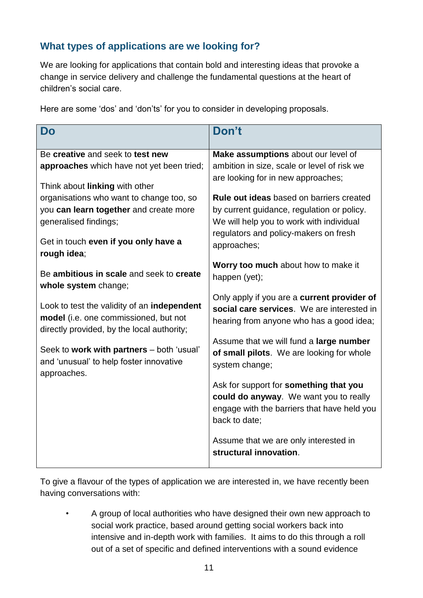#### **What types of applications are we looking for?**

We are looking for applications that contain bold and interesting ideas that provoke a change in service delivery and challenge the fundamental questions at the heart of children's social care.

|  |  | Here are some 'dos' and 'don'ts' for you to consider in developing proposals. |
|--|--|-------------------------------------------------------------------------------|
|  |  |                                                                               |
|  |  |                                                                               |

| <b>Do</b>                                                                                                                          | Don't                                                                                                                                            |  |  |
|------------------------------------------------------------------------------------------------------------------------------------|--------------------------------------------------------------------------------------------------------------------------------------------------|--|--|
| Be creative and seek to test new                                                                                                   | Make assumptions about our level of                                                                                                              |  |  |
| approaches which have not yet been tried;                                                                                          | ambition in size, scale or level of risk we<br>are looking for in new approaches;                                                                |  |  |
| Think about linking with other                                                                                                     |                                                                                                                                                  |  |  |
| organisations who want to change too, so                                                                                           | <b>Rule out ideas</b> based on barriers created                                                                                                  |  |  |
| you can learn together and create more<br>generalised findings;                                                                    | by current guidance, regulation or policy.<br>We will help you to work with individual                                                           |  |  |
|                                                                                                                                    | regulators and policy-makers on fresh                                                                                                            |  |  |
| Get in touch even if you only have a<br>rough idea;                                                                                | approaches;                                                                                                                                      |  |  |
| Be ambitious in scale and seek to create<br>whole system change;                                                                   | Worry too much about how to make it<br>happen (yet);                                                                                             |  |  |
| Look to test the validity of an independent<br>model (i.e. one commissioned, but not<br>directly provided, by the local authority; | Only apply if you are a current provider of<br>social care services. We are interested in<br>hearing from anyone who has a good idea;            |  |  |
| Seek to work with partners - both 'usual'<br>and 'unusual' to help foster innovative<br>approaches.                                | Assume that we will fund a large number<br>of small pilots. We are looking for whole<br>system change;                                           |  |  |
|                                                                                                                                    | Ask for support for something that you<br>could do anyway. We want you to really<br>engage with the barriers that have held you<br>back to date; |  |  |
|                                                                                                                                    | Assume that we are only interested in<br>structural innovation.                                                                                  |  |  |

To give a flavour of the types of application we are interested in, we have recently been having conversations with:

• A group of local authorities who have designed their own new approach to social work practice, based around getting social workers back into intensive and in-depth work with families. It aims to do this through a roll out of a set of specific and defined interventions with a sound evidence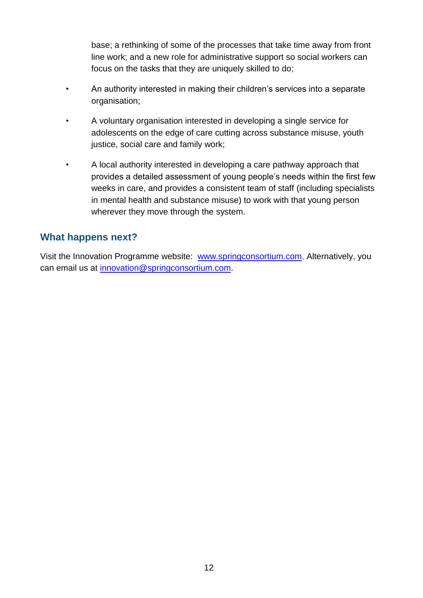base; a rethinking of some of the processes that take time away from front line work; and a new role for administrative support so social workers can focus on the tasks that they are uniquely skilled to do;

- An authority interested in making their children's services into a separate organisation;
- A voluntary organisation interested in developing a single service for adolescents on the edge of care cutting across substance misuse, youth justice, social care and family work;
- A local authority interested in developing a care pathway approach that provides a detailed assessment of young people's needs within the first few weeks in care, and provides a consistent team of staff (including specialists in mental health and substance misuse) to work with that young person wherever they move through the system.

#### **What happens next?**

Visit the Innovation Programme website: [www.springconsortium.com.](http://www.springconsortium.com/) Alternatively, you can email us at [innovation@springconsortium.com.](mailto:innovation@springconsortium.com)